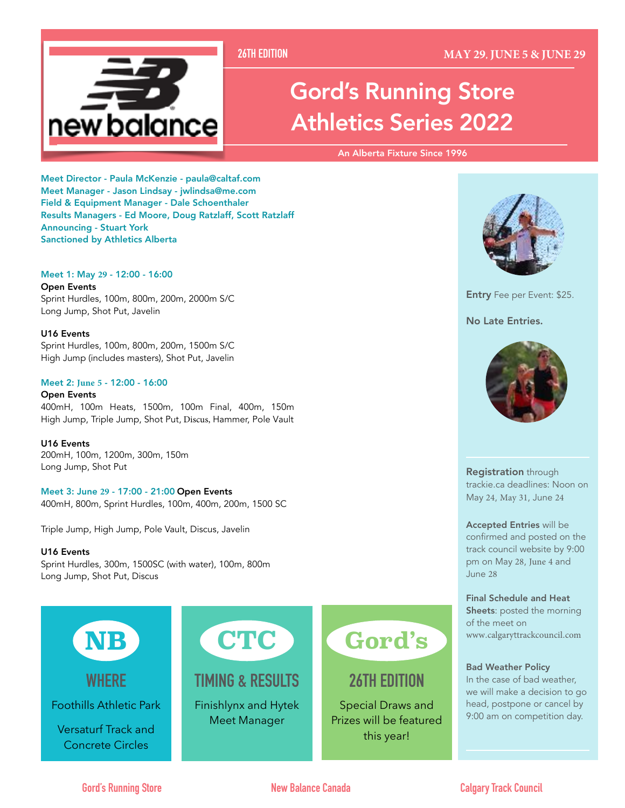

**26TH EDITION**

**MAY 29, JUNE 5 & JUNE 29**

# Gord's Running Store Athletics Series 2022

### An Alberta Fixture Since 1996

Meet Director - Paula McKenzie - [paula@caltaf.com](mailto:paula@caltaf.com) Meet Manager - Jason Lindsay - jwlindsa@me.com Field & Equipment Manager - Dale Schoenthaler Results Managers - Ed Moore, Doug Ratzlaff, Scott Ratzlaff **Announcing - Stuart York Sanctioned by Athletics Alberta** 

#### Meet 1: May 29 - 12:00 - 16:00

**Open Events** Sprint Hurdles, 100m, 800m, 200m, 2000m S/C Long Jump, Shot Put, Javelin

U16 Events Sprint Hurdles, 100m, 800m, 200m, 1500m S/C High Jump (includes masters), Shot Put, Javelin

### Meet 2: June 5 - 12:00 - 16:00

**Open Events** 400mH, 100m Heats, 1500m, 100m Final, 400m, 150m High Jump, Triple Jump, Shot Put, Discus, Hammer, Pole Vault

U16 Events 200mH, 100m, 1200m, 300m, 150m Long Jump, Shot Put

Meet 3: June 29 - 17:00 - 21:00 Open Events 400mH, 800m, Sprint Hurdles, 100m, 400m, 200m, 1500 SC

Triple Jump, High Jump, Pole Vault, Discus, Javelin

#### U16 Events

Sprint Hurdles, 300m, 1500SC (with water), 100m, 800m Long Jump, Shot Put, Discus





Entry Fee per Event: \$25.

No Late Entries.



Registration through [trackie.ca](http://trackie.com) deadlines: Noon on May 24, May 31, June 24

Accepted Entries will be confirmed and posted on the track council website by 9:00 pm on May 28, June 4 and June 28

Final Schedule and Heat Sheets: posted the morning of the meet on www.calgaryt[trackcouncil](https://calgarytrackcouncil.com/outdoormeets.php).com

### Bad Weather Policy

In the case of bad weather, we will make a decision to go head, postpone or cancel by 9:00 am on competition day.

**Gord's Running Store New Balance Canada Calgary Track Council**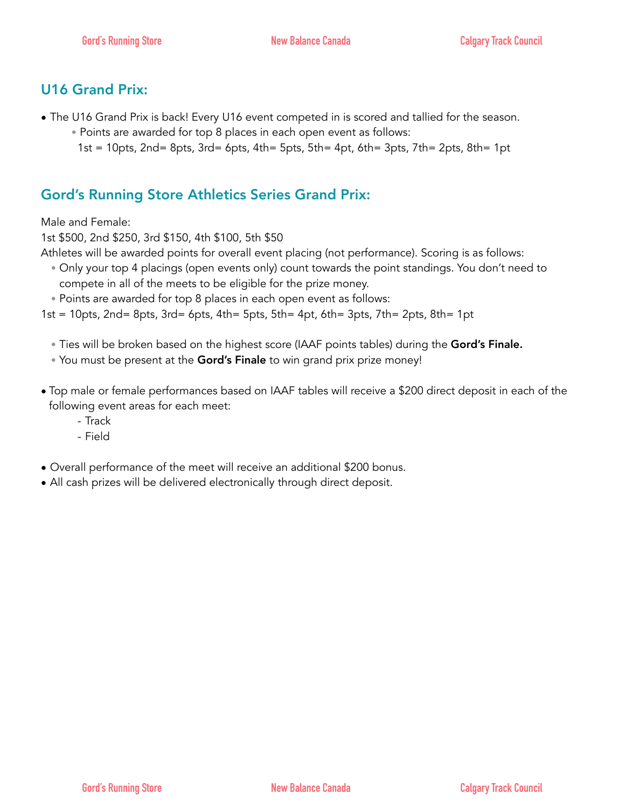### U16 Grand Prix:

- The U16 Grand Prix is back! Every U16 event competed in is scored and tallied for the season.
	- Points are awarded for top 8 places in each open event as follows:
		- 1st = 10pts, 2nd= 8pts, 3rd= 6pts, 4th= 5pts, 5th= 4pt, 6th= 3pts, 7th= 2pts, 8th= 1pt

### Gord's Running Store Athletics Series Grand Prix:

Male and Female:

1st \$500, 2nd \$250, 3rd \$150, 4th \$100, 5th \$50

Athletes will be awarded points for overall event placing (not performance). Scoring is as follows:

• Only your top 4 placings (open events only) count towards the point standings. You don't need to compete in all of the meets to be eligible for the prize money.

• Points are awarded for top 8 places in each open event as follows:

1st = 10pts, 2nd= 8pts, 3rd= 6pts, 4th= 5pts, 5th= 4pt, 6th= 3pts, 7th= 2pts, 8th= 1pt

- Ties will be broken based on the highest score (IAAF points tables) during the Gord's Finale.
- You must be present at the Gord's Finale to win grand prix prize money!
- Top male or female performances based on IAAF tables will receive a \$200 direct deposit in each of the following event areas for each meet:
	- Track
	- Field
- Overall performance of the meet will receive an additional \$200 bonus.
- All cash prizes will be delivered electronically through direct deposit.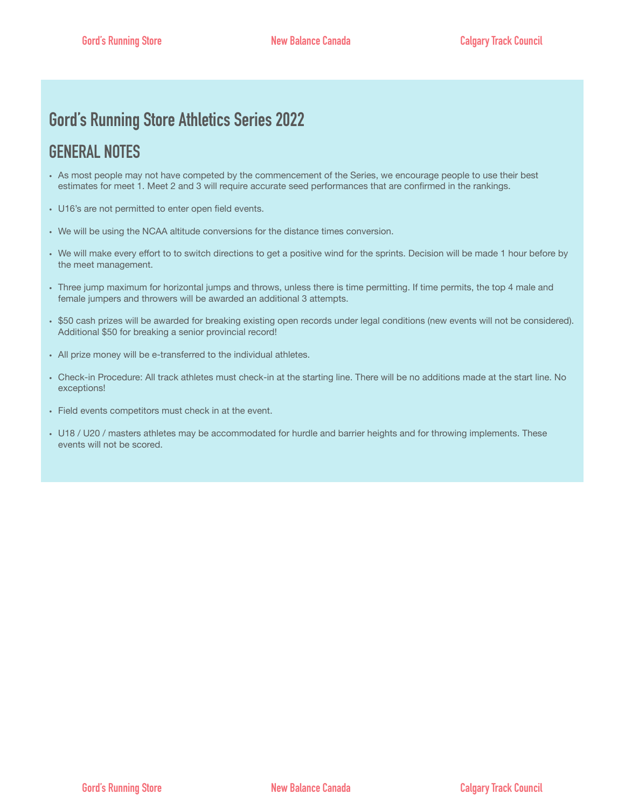# **Gord's Running Store Athletics Series 2022**

## **GENERAL NOTES**

- As most people may not have competed by the commencement of the Series, we encourage people to use their best estimates for meet 1. Meet 2 and 3 will require accurate seed performances that are confirmed in the rankings.
- U16's are not permitted to enter open field events.
- We will be using the NCAA altitude conversions for the distance times conversion.
- We will make every effort to to switch directions to get a positive wind for the sprints. Decision will be made 1 hour before by the meet management.
- Three jump maximum for horizontal jumps and throws, unless there is time permitting. If time permits, the top 4 male and female jumpers and throwers will be awarded an additional 3 attempts.
- \$50 cash prizes will be awarded for breaking existing open records under legal conditions (new events will not be considered). Additional \$50 for breaking a senior provincial record!
- All prize money will be e-transferred to the individual athletes.
- Check-in Procedure: All track athletes must check-in at the starting line. There will be no additions made at the start line. No exceptions!
- Field events competitors must check in at the event.
- U18 / U20 / masters athletes may be accommodated for hurdle and barrier heights and for throwing implements. These events will not be scored.